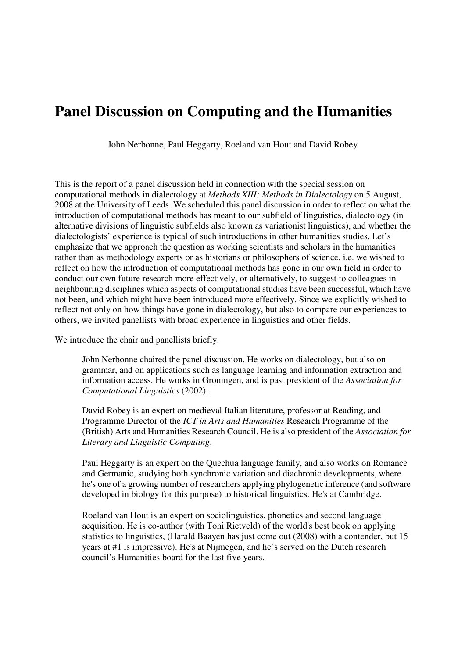## **Panel Discussion on Computing and the Humanities**

John Nerbonne, Paul Heggarty, Roeland van Hout and David Robey

This is the report of a panel discussion held in connection with the special session on computational methods in dialectology at *Methods XIII: Methods in Dialectology* on 5 August, 2008 at the University of Leeds. We scheduled this panel discussion in order to reflect on what the introduction of computational methods has meant to our subfield of linguistics, dialectology (in alternative divisions of linguistic subfields also known as variationist linguistics), and whether the dialectologists' experience is typical of such introductions in other humanities studies. Let's emphasize that we approach the question as working scientists and scholars in the humanities rather than as methodology experts or as historians or philosophers of science, i.e. we wished to reflect on how the introduction of computational methods has gone in our own field in order to conduct our own future research more effectively, or alternatively, to suggest to colleagues in neighbouring disciplines which aspects of computational studies have been successful, which have not been, and which might have been introduced more effectively. Since we explicitly wished to reflect not only on how things have gone in dialectology, but also to compare our experiences to others, we invited panellists with broad experience in linguistics and other fields.

We introduce the chair and panellists briefly.

John Nerbonne chaired the panel discussion. He works on dialectology, but also on grammar, and on applications such as language learning and information extraction and information access. He works in Groningen, and is past president of the *Association for Computational Linguistics* (2002).

David Robey is an expert on medieval Italian literature, professor at Reading, and Programme Director of the *ICT in Arts and Humanities* Research Programme of the (British) Arts and Humanities Research Council. He is also president of the *Association for Literary and Linguistic Computing*.

Paul Heggarty is an expert on the Quechua language family, and also works on Romance and Germanic, studying both synchronic variation and diachronic developments, where he's one of a growing number of researchers applying phylogenetic inference (and software developed in biology for this purpose) to historical linguistics. He's at Cambridge.

Roeland van Hout is an expert on sociolinguistics, phonetics and second language acquisition. He is co-author (with Toni Rietveld) of the world's best book on applying statistics to linguistics, (Harald Baayen has just come out (2008) with a contender, but 15 years at #1 is impressive). He's at Nijmegen, and he's served on the Dutch research council's Humanities board for the last five years.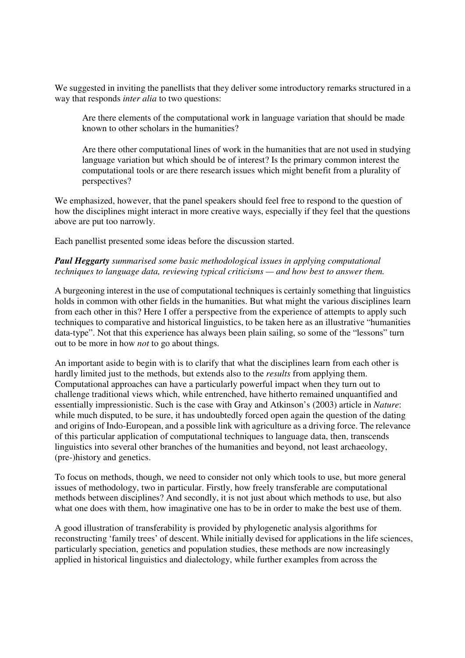We suggested in inviting the panellists that they deliver some introductory remarks structured in a way that responds *inter alia* to two questions:

Are there elements of the computational work in language variation that should be made known to other scholars in the humanities?

Are there other computational lines of work in the humanities that are not used in studying language variation but which should be of interest? Is the primary common interest the computational tools or are there research issues which might benefit from a plurality of perspectives?

We emphasized, however, that the panel speakers should feel free to respond to the question of how the disciplines might interact in more creative ways, especially if they feel that the questions above are put too narrowly.

Each panellist presented some ideas before the discussion started.

#### *Paul Heggarty summarised some basic methodological issues in applying computational techniques to language data, reviewing typical criticisms — and how best to answer them.*

A burgeoning interest in the use of computational techniques is certainly something that linguistics holds in common with other fields in the humanities. But what might the various disciplines learn from each other in this? Here I offer a perspective from the experience of attempts to apply such techniques to comparative and historical linguistics, to be taken here as an illustrative "humanities data-type". Not that this experience has always been plain sailing, so some of the "lessons" turn out to be more in how *not* to go about things.

An important aside to begin with is to clarify that what the disciplines learn from each other is hardly limited just to the methods, but extends also to the *results* from applying them. Computational approaches can have a particularly powerful impact when they turn out to challenge traditional views which, while entrenched, have hitherto remained unquantified and essentially impressionistic. Such is the case with Gray and Atkinson's (2003) article in *Nature*: while much disputed, to be sure, it has undoubtedly forced open again the question of the dating and origins of Indo-European, and a possible link with agriculture as a driving force. The relevance of this particular application of computational techniques to language data, then, transcends linguistics into several other branches of the humanities and beyond, not least archaeology, (pre-)history and genetics.

To focus on methods, though, we need to consider not only which tools to use, but more general issues of methodology, two in particular. Firstly, how freely transferable are computational methods between disciplines? And secondly, it is not just about which methods to use, but also what one does with them, how imaginative one has to be in order to make the best use of them.

A good illustration of transferability is provided by phylogenetic analysis algorithms for reconstructing 'family trees' of descent. While initially devised for applications in the life sciences, particularly speciation, genetics and population studies, these methods are now increasingly applied in historical linguistics and dialectology, while further examples from across the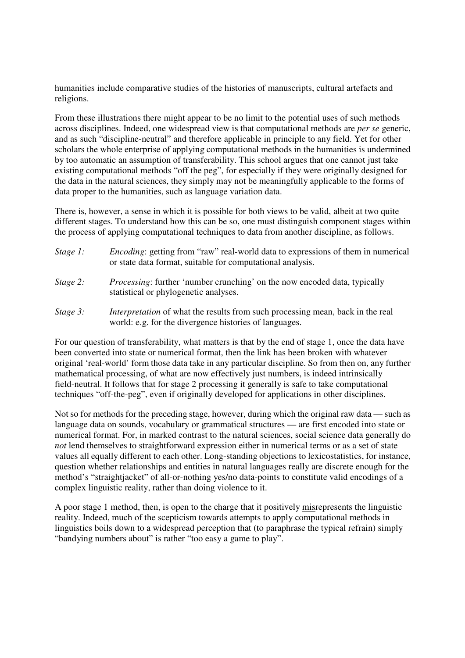humanities include comparative studies of the histories of manuscripts, cultural artefacts and religions.

From these illustrations there might appear to be no limit to the potential uses of such methods across disciplines. Indeed, one widespread view is that computational methods are *per se* generic, and as such "discipline-neutral" and therefore applicable in principle to any field. Yet for other scholars the whole enterprise of applying computational methods in the humanities is undermined by too automatic an assumption of transferability. This school argues that one cannot just take existing computational methods "off the peg", for especially if they were originally designed for the data in the natural sciences, they simply may not be meaningfully applicable to the forms of data proper to the humanities, such as language variation data.

There is, however, a sense in which it is possible for both views to be valid, albeit at two quite different stages. To understand how this can be so, one must distinguish component stages within the process of applying computational techniques to data from another discipline, as follows.

| Stage 1:    | <i>Encoding:</i> getting from "raw" real-world data to expressions of them in numerical<br>or state data format, suitable for computational analysis. |
|-------------|-------------------------------------------------------------------------------------------------------------------------------------------------------|
| Stage $2$ : | <i>Processing:</i> further 'number crunching' on the now encoded data, typically<br>statistical or phylogenetic analyses.                             |
| Stage 3:    | <i>Interpretation</i> of what the results from such processing mean, back in the real                                                                 |

world: e.g. for the divergence histories of languages.

For our question of transferability, what matters is that by the end of stage 1, once the data have been converted into state or numerical format, then the link has been broken with whatever original 'real-world' form those data take in any particular discipline. So from then on, any further mathematical processing, of what are now effectively just numbers, is indeed intrinsically field-neutral. It follows that for stage 2 processing it generally is safe to take computational techniques "off-the-peg", even if originally developed for applications in other disciplines.

Not so for methods for the preceding stage, however, during which the original raw data — such as language data on sounds, vocabulary or grammatical structures — are first encoded into state or numerical format. For, in marked contrast to the natural sciences, social science data generally do *not* lend themselves to straightforward expression either in numerical terms or as a set of state values all equally different to each other. Long-standing objections to lexicostatistics, for instance, question whether relationships and entities in natural languages really are discrete enough for the method's "straightjacket" of all-or-nothing yes/no data-points to constitute valid encodings of a complex linguistic reality, rather than doing violence to it.

A poor stage 1 method, then, is open to the charge that it positively misrepresents the linguistic reality. Indeed, much of the scepticism towards attempts to apply computational methods in linguistics boils down to a widespread perception that (to paraphrase the typical refrain) simply "bandying numbers about" is rather "too easy a game to play".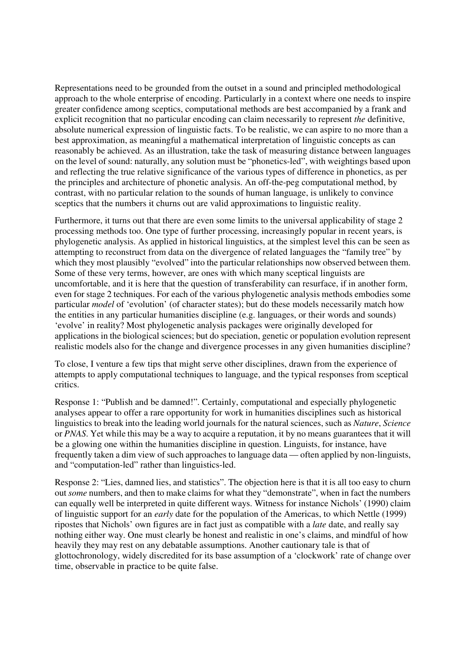Representations need to be grounded from the outset in a sound and principled methodological approach to the whole enterprise of encoding. Particularly in a context where one needs to inspire greater confidence among sceptics, computational methods are best accompanied by a frank and explicit recognition that no particular encoding can claim necessarily to represent *the* definitive, absolute numerical expression of linguistic facts. To be realistic, we can aspire to no more than a best approximation, as meaningful a mathematical interpretation of linguistic concepts as can reasonably be achieved. As an illustration, take the task of measuring distance between languages on the level of sound: naturally, any solution must be "phonetics-led", with weightings based upon and reflecting the true relative significance of the various types of difference in phonetics, as per the principles and architecture of phonetic analysis. An off-the-peg computational method, by contrast, with no particular relation to the sounds of human language, is unlikely to convince sceptics that the numbers it churns out are valid approximations to linguistic reality.

Furthermore, it turns out that there are even some limits to the universal applicability of stage 2 processing methods too. One type of further processing, increasingly popular in recent years, is phylogenetic analysis. As applied in historical linguistics, at the simplest level this can be seen as attempting to reconstruct from data on the divergence of related languages the "family tree" by which they most plausibly "evolved" into the particular relationships now observed between them. Some of these very terms, however, are ones with which many sceptical linguists are uncomfortable, and it is here that the question of transferability can resurface, if in another form, even for stage 2 techniques. For each of the various phylogenetic analysis methods embodies some particular *model* of 'evolution' (of character states); but do these models necessarily match how the entities in any particular humanities discipline (e.g. languages, or their words and sounds) 'evolve' in reality? Most phylogenetic analysis packages were originally developed for applications in the biological sciences; but do speciation, genetic or population evolution represent realistic models also for the change and divergence processes in any given humanities discipline?

To close, I venture a few tips that might serve other disciplines, drawn from the experience of attempts to apply computational techniques to language, and the typical responses from sceptical critics.

Response 1: "Publish and be damned!". Certainly, computational and especially phylogenetic analyses appear to offer a rare opportunity for work in humanities disciplines such as historical linguistics to break into the leading world journals for the natural sciences, such as *Nature*, *Science* or *PNAS*. Yet while this may be a way to acquire a reputation, it by no means guarantees that it will be a glowing one within the humanities discipline in question. Linguists, for instance, have frequently taken a dim view of such approaches to language data — often applied by non-linguists, and "computation-led" rather than linguistics-led.

Response 2: "Lies, damned lies, and statistics". The objection here is that it is all too easy to churn out *some* numbers, and then to make claims for what they "demonstrate", when in fact the numbers can equally well be interpreted in quite different ways. Witness for instance Nichols' (1990) claim of linguistic support for an *early* date for the population of the Americas, to which Nettle (1999) ripostes that Nichols' own figures are in fact just as compatible with a *late* date, and really say nothing either way. One must clearly be honest and realistic in one's claims, and mindful of how heavily they may rest on any debatable assumptions. Another cautionary tale is that of glottochronology, widely discredited for its base assumption of a 'clockwork' rate of change over time, observable in practice to be quite false.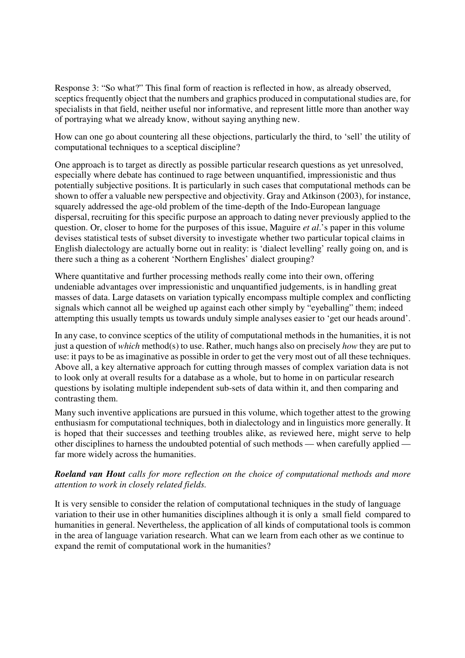Response 3: "So what?" This final form of reaction is reflected in how, as already observed, sceptics frequently object that the numbers and graphics produced in computational studies are, for specialists in that field, neither useful nor informative, and represent little more than another way of portraying what we already know, without saying anything new.

How can one go about countering all these objections, particularly the third, to 'sell' the utility of computational techniques to a sceptical discipline?

One approach is to target as directly as possible particular research questions as yet unresolved, especially where debate has continued to rage between unquantified, impressionistic and thus potentially subjective positions. It is particularly in such cases that computational methods can be shown to offer a valuable new perspective and objectivity. Gray and Atkinson (2003), for instance, squarely addressed the age-old problem of the time-depth of the Indo-European language dispersal, recruiting for this specific purpose an approach to dating never previously applied to the question. Or, closer to home for the purposes of this issue, Maguire *et al*.'s paper in this volume devises statistical tests of subset diversity to investigate whether two particular topical claims in English dialectology are actually borne out in reality: is 'dialect levelling' really going on, and is there such a thing as a coherent 'Northern Englishes' dialect grouping?

Where quantitative and further processing methods really come into their own, offering undeniable advantages over impressionistic and unquantified judgements, is in handling great masses of data. Large datasets on variation typically encompass multiple complex and conflicting signals which cannot all be weighed up against each other simply by "eyeballing" them; indeed attempting this usually tempts us towards unduly simple analyses easier to 'get our heads around'.

In any case, to convince sceptics of the utility of computational methods in the humanities, it is not just a question of *which* method(s) to use. Rather, much hangs also on precisely *how* they are put to use: it pays to be as imaginative as possible in order to get the very most out of all these techniques. Above all, a key alternative approach for cutting through masses of complex variation data is not to look only at overall results for a database as a whole, but to home in on particular research questions by isolating multiple independent sub-sets of data within it, and then comparing and contrasting them.

Many such inventive applications are pursued in this volume, which together attest to the growing enthusiasm for computational techniques, both in dialectology and in linguistics more generally. It is hoped that their successes and teething troubles alike, as reviewed here, might serve to help other disciplines to harness the undoubted potential of such methods — when carefully applied far more widely across the humanities.

### *Roeland van Hout calls for more reflection on the choice of computational methods and more attention to work in closely related fields.*

It is very sensible to consider the relation of computational techniques in the study of language variation to their use in other humanities disciplines although it is only a small field compared to humanities in general. Nevertheless, the application of all kinds of computational tools is common in the area of language variation research. What can we learn from each other as we continue to expand the remit of computational work in the humanities?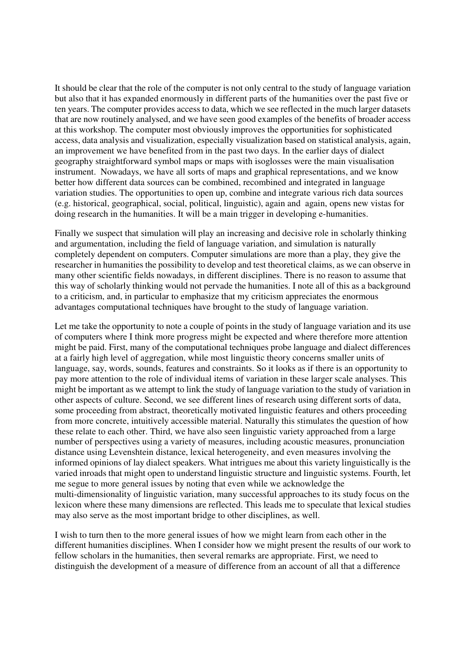It should be clear that the role of the computer is not only central to the study of language variation but also that it has expanded enormously in different parts of the humanities over the past five or ten years. The computer provides access to data, which we see reflected in the much larger datasets that are now routinely analysed, and we have seen good examples of the benefits of broader access at this workshop. The computer most obviously improves the opportunities for sophisticated access, data analysis and visualization, especially visualization based on statistical analysis, again, an improvement we have benefited from in the past two days. In the earlier days of dialect geography straightforward symbol maps or maps with isoglosses were the main visualisation instrument. Nowadays, we have all sorts of maps and graphical representations, and we know better how different data sources can be combined, recombined and integrated in language variation studies. The opportunities to open up, combine and integrate various rich data sources (e.g. historical, geographical, social, political, linguistic), again and again, opens new vistas for doing research in the humanities. It will be a main trigger in developing e-humanities.

Finally we suspect that simulation will play an increasing and decisive role in scholarly thinking and argumentation, including the field of language variation, and simulation is naturally completely dependent on computers. Computer simulations are more than a play, they give the researcher in humanities the possibility to develop and test theoretical claims, as we can observe in many other scientific fields nowadays, in different disciplines. There is no reason to assume that this way of scholarly thinking would not pervade the humanities. I note all of this as a background to a criticism, and, in particular to emphasize that my criticism appreciates the enormous advantages computational techniques have brought to the study of language variation.

Let me take the opportunity to note a couple of points in the study of language variation and its use of computers where I think more progress might be expected and where therefore more attention might be paid. First, many of the computational techniques probe language and dialect differences at a fairly high level of aggregation, while most linguistic theory concerns smaller units of language, say, words, sounds, features and constraints. So it looks as if there is an opportunity to pay more attention to the role of individual items of variation in these larger scale analyses. This might be important as we attempt to link the study of language variation to the study of variation in other aspects of culture. Second, we see different lines of research using different sorts of data, some proceeding from abstract, theoretically motivated linguistic features and others proceeding from more concrete, intuitively accessible material. Naturally this stimulates the question of how these relate to each other. Third, we have also seen linguistic variety approached from a large number of perspectives using a variety of measures, including acoustic measures, pronunciation distance using Levenshtein distance, lexical heterogeneity, and even measures involving the informed opinions of lay dialect speakers. What intrigues me about this variety linguistically is the varied inroads that might open to understand linguistic structure and linguistic systems. Fourth, let me segue to more general issues by noting that even while we acknowledge the multi-dimensionality of linguistic variation, many successful approaches to its study focus on the lexicon where these many dimensions are reflected. This leads me to speculate that lexical studies may also serve as the most important bridge to other disciplines, as well.

I wish to turn then to the more general issues of how we might learn from each other in the different humanities disciplines. When I consider how we might present the results of our work to fellow scholars in the humanities, then several remarks are appropriate. First, we need to distinguish the development of a measure of difference from an account of all that a difference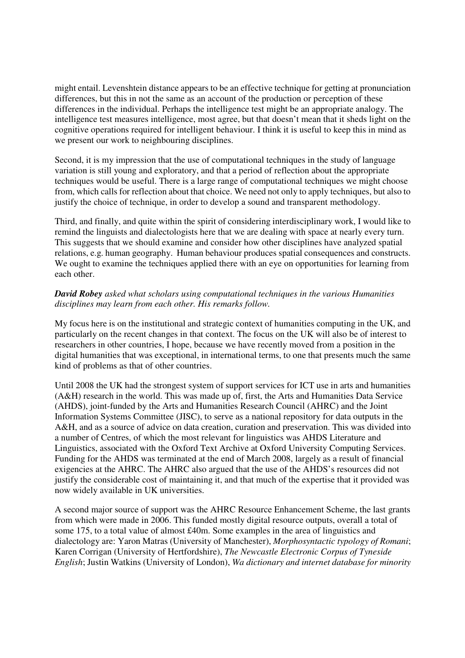might entail. Levenshtein distance appears to be an effective technique for getting at pronunciation differences, but this in not the same as an account of the production or perception of these differences in the individual. Perhaps the intelligence test might be an appropriate analogy. The intelligence test measures intelligence, most agree, but that doesn't mean that it sheds light on the cognitive operations required for intelligent behaviour. I think it is useful to keep this in mind as we present our work to neighbouring disciplines.

Second, it is my impression that the use of computational techniques in the study of language variation is still young and exploratory, and that a period of reflection about the appropriate techniques would be useful. There is a large range of computational techniques we might choose from, which calls for reflection about that choice. We need not only to apply techniques, but also to justify the choice of technique, in order to develop a sound and transparent methodology.

Third, and finally, and quite within the spirit of considering interdisciplinary work, I would like to remind the linguists and dialectologists here that we are dealing with space at nearly every turn. This suggests that we should examine and consider how other disciplines have analyzed spatial relations, e.g. human geography. Human behaviour produces spatial consequences and constructs. We ought to examine the techniques applied there with an eye on opportunities for learning from each other.

#### *David Robey asked what scholars using computational techniques in the various Humanities disciplines may learn from each other. His remarks follow.*

My focus here is on the institutional and strategic context of humanities computing in the UK, and particularly on the recent changes in that context. The focus on the UK will also be of interest to researchers in other countries, I hope, because we have recently moved from a position in the digital humanities that was exceptional, in international terms, to one that presents much the same kind of problems as that of other countries.

Until 2008 the UK had the strongest system of support services for ICT use in arts and humanities (A&H) research in the world. This was made up of, first, the Arts and Humanities Data Service (AHDS), joint-funded by the Arts and Humanities Research Council (AHRC) and the Joint Information Systems Committee (JISC), to serve as a national repository for data outputs in the A&H, and as a source of advice on data creation, curation and preservation. This was divided into a number of Centres, of which the most relevant for linguistics was AHDS Literature and Linguistics, associated with the Oxford Text Archive at Oxford University Computing Services. Funding for the AHDS was terminated at the end of March 2008, largely as a result of financial exigencies at the AHRC. The AHRC also argued that the use of the AHDS's resources did not justify the considerable cost of maintaining it, and that much of the expertise that it provided was now widely available in UK universities.

A second major source of support was the AHRC Resource Enhancement Scheme, the last grants from which were made in 2006. This funded mostly digital resource outputs, overall a total of some 175, to a total value of almost £40m. Some examples in the area of linguistics and dialectology are: Yaron Matras (University of Manchester), *Morphosyntactic typology of Romani*; Karen Corrigan (University of Hertfordshire), *The Newcastle Electronic Corpus of Tyneside English*; Justin Watkins (University of London), *Wa dictionary and internet database for minority*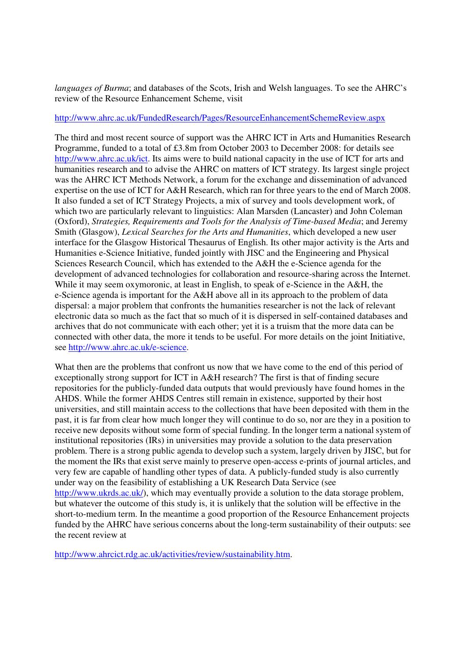*languages of Burma*; and databases of the Scots, Irish and Welsh languages. To see the AHRC's review of the Resource Enhancement Scheme, visit

#### http://www.ahrc.ac.uk/FundedResearch/Pages/ResourceEnhancementSchemeReview.aspx

The third and most recent source of support was the AHRC ICT in Arts and Humanities Research Programme, funded to a total of £3.8m from October 2003 to December 2008: for details see http://www.ahrc.ac.uk/ict. Its aims were to build national capacity in the use of ICT for arts and humanities research and to advise the AHRC on matters of ICT strategy. Its largest single project was the AHRC ICT Methods Network, a forum for the exchange and dissemination of advanced expertise on the use of ICT for A&H Research, which ran for three years to the end of March 2008. It also funded a set of ICT Strategy Projects, a mix of survey and tools development work, of which two are particularly relevant to linguistics: Alan Marsden (Lancaster) and John Coleman (Oxford), *Strategies, Requirements and Tools for the Analysis of Time-based Media*; and Jeremy Smith (Glasgow), *Lexical Searches for the Arts and Humanities*, which developed a new user interface for the Glasgow Historical Thesaurus of English. Its other major activity is the Arts and Humanities e-Science Initiative, funded jointly with JISC and the Engineering and Physical Sciences Research Council, which has extended to the A&H the e-Science agenda for the development of advanced technologies for collaboration and resource-sharing across the Internet. While it may seem oxymoronic, at least in English, to speak of e-Science in the A&H, the e-Science agenda is important for the A&H above all in its approach to the problem of data dispersal: a major problem that confronts the humanities researcher is not the lack of relevant electronic data so much as the fact that so much of it is dispersed in self-contained databases and archives that do not communicate with each other; yet it is a truism that the more data can be connected with other data, the more it tends to be useful. For more details on the joint Initiative, see http://www.ahrc.ac.uk/e-science.

What then are the problems that confront us now that we have come to the end of this period of exceptionally strong support for ICT in A&H research? The first is that of finding secure repositories for the publicly-funded data outputs that would previously have found homes in the AHDS. While the former AHDS Centres still remain in existence, supported by their host universities, and still maintain access to the collections that have been deposited with them in the past, it is far from clear how much longer they will continue to do so, nor are they in a position to receive new deposits without some form of special funding. In the longer term a national system of institutional repositories (IRs) in universities may provide a solution to the data preservation problem. There is a strong public agenda to develop such a system, largely driven by JISC, but for the moment the IRs that exist serve mainly to preserve open-access e-prints of journal articles, and very few are capable of handling other types of data. A publicly-funded study is also currently under way on the feasibility of establishing a UK Research Data Service (see http://www.ukrds.ac.uk/), which may eventually provide a solution to the data storage problem, but whatever the outcome of this study is, it is unlikely that the solution will be effective in the short-to-medium term. In the meantime a good proportion of the Resource Enhancement projects funded by the AHRC have serious concerns about the long-term sustainability of their outputs: see the recent review at

http://www.ahrcict.rdg.ac.uk/activities/review/sustainability.htm.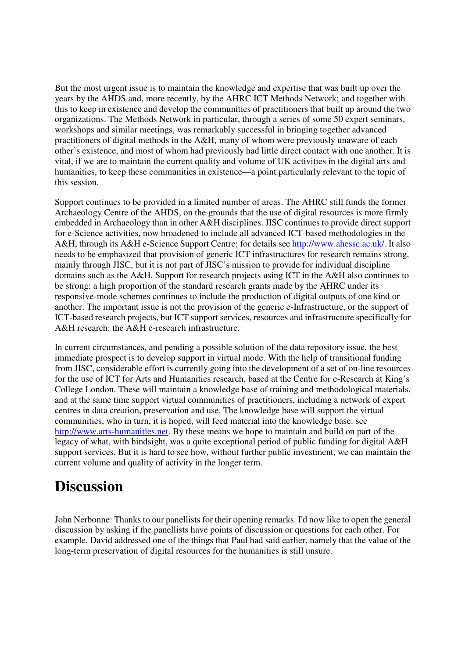But the most urgent issue is to maintain the knowledge and expertise that was built up over the years by the AHDS and, more recently, by the AHRC ICT Methods Network; and together with this to keep in existence and develop the communities of practitioners that built up around the two organizations. The Methods Network in particular, through a series of some 50 expert seminars, workshops and similar meetings, was remarkably successful in bringing together advanced practitioners of digital methods in the A&H, many of whom were previously unaware of each other's existence, and most of whom had previously had little direct contact with one another. It is vital, if we are to maintain the current quality and volume of UK activities in the digital arts and humanities, to keep these communities in existence—a point particularly relevant to the topic of this session.

Support continues to be provided in a limited number of areas. The AHRC still funds the former Archaeology Centre of the AHDS, on the grounds that the use of digital resources is more firmly embedded in Archaeology than in other A&H disciplines. JISC continues to provide direct support for e-Science activities, now broadened to include all advanced ICT-based methodologies in the A&H, through its A&H e-Science Support Centre; for details see http://www.ahessc.ac.uk/. It also needs to be emphasized that provision of generic ICT infrastructures for research remains strong, mainly through JISC, but it is not part of JISC's mission to provide for individual discipline domains such as the A&H. Support for research projects using ICT in the A&H also continues to be strong: a high proportion of the standard research grants made by the AHRC under its responsive-mode schemes continues to include the production of digital outputs of one kind or another. The important issue is not the provision of the generic e-Infrastructure, or the support of ICT-based research projects, but ICT support services, resources and infrastructure specifically for A&H research: the A&H e-research infrastructure.

In current circumstances, and pending a possible solution of the data repository issue, the best immediate prospect is to develop support in virtual mode. With the help of transitional funding from JISC, considerable effort is currently going into the development of a set of on-line resources for the use of ICT for Arts and Humanities research, based at the Centre for e-Research at King's College London. These will maintain a knowledge base of training and methodological materials, and at the same time support virtual communities of practitioners, including a network of expert centres in data creation, preservation and use. The knowledge base will support the virtual communities, who in turn, it is hoped, will feed material into the knowledge base: see http://www.arts-humanities.net. By these means we hope to maintain and build on part of the legacy of what, with hindsight, was a quite exceptional period of public funding for digital A&H support services. But it is hard to see how, without further public investment, we can maintain the current volume and quality of activity in the longer term.

# **Discussion**

John Nerbonne: Thanks to our panellists for their opening remarks. I'd now like to open the general discussion by asking if the panellists have points of discussion or questions for each other. For example, David addressed one of the things that Paul had said earlier, namely that the value of the long-term preservation of digital resources for the humanities is still unsure.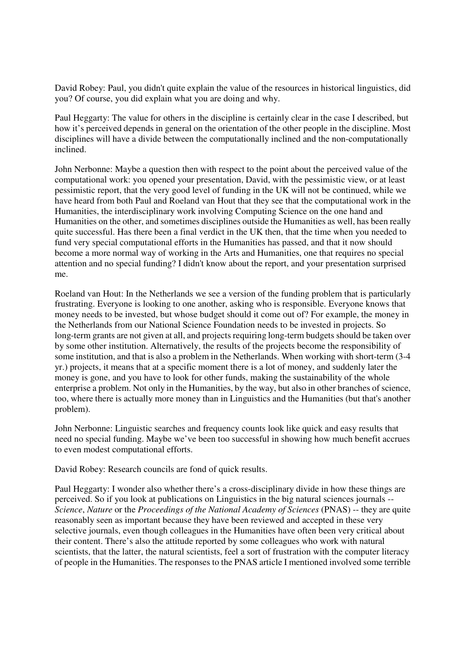David Robey: Paul, you didn't quite explain the value of the resources in historical linguistics, did you? Of course, you did explain what you are doing and why.

Paul Heggarty: The value for others in the discipline is certainly clear in the case I described, but how it's perceived depends in general on the orientation of the other people in the discipline. Most disciplines will have a divide between the computationally inclined and the non-computationally inclined.

John Nerbonne: Maybe a question then with respect to the point about the perceived value of the computational work: you opened your presentation, David, with the pessimistic view, or at least pessimistic report, that the very good level of funding in the UK will not be continued, while we have heard from both Paul and Roeland van Hout that they see that the computational work in the Humanities, the interdisciplinary work involving Computing Science on the one hand and Humanities on the other, and sometimes disciplines outside the Humanities as well, has been really quite successful. Has there been a final verdict in the UK then, that the time when you needed to fund very special computational efforts in the Humanities has passed, and that it now should become a more normal way of working in the Arts and Humanities, one that requires no special attention and no special funding? I didn't know about the report, and your presentation surprised me.

Roeland van Hout: In the Netherlands we see a version of the funding problem that is particularly frustrating. Everyone is looking to one another, asking who is responsible. Everyone knows that money needs to be invested, but whose budget should it come out of? For example, the money in the Netherlands from our National Science Foundation needs to be invested in projects. So long-term grants are not given at all, and projects requiring long-term budgets should be taken over by some other institution. Alternatively, the results of the projects become the responsibility of some institution, and that is also a problem in the Netherlands. When working with short-term (3-4 yr.) projects, it means that at a specific moment there is a lot of money, and suddenly later the money is gone, and you have to look for other funds, making the sustainability of the whole enterprise a problem. Not only in the Humanities, by the way, but also in other branches of science, too, where there is actually more money than in Linguistics and the Humanities (but that's another problem).

John Nerbonne: Linguistic searches and frequency counts look like quick and easy results that need no special funding. Maybe we've been too successful in showing how much benefit accrues to even modest computational efforts.

David Robey: Research councils are fond of quick results.

Paul Heggarty: I wonder also whether there's a cross-disciplinary divide in how these things are perceived. So if you look at publications on Linguistics in the big natural sciences journals -- *Science*, *Nature* or the *Proceedings of the National Academy of Sciences* (PNAS) -- they are quite reasonably seen as important because they have been reviewed and accepted in these very selective journals, even though colleagues in the Humanities have often been very critical about their content. There's also the attitude reported by some colleagues who work with natural scientists, that the latter, the natural scientists, feel a sort of frustration with the computer literacy of people in the Humanities. The responses to the PNAS article I mentioned involved some terrible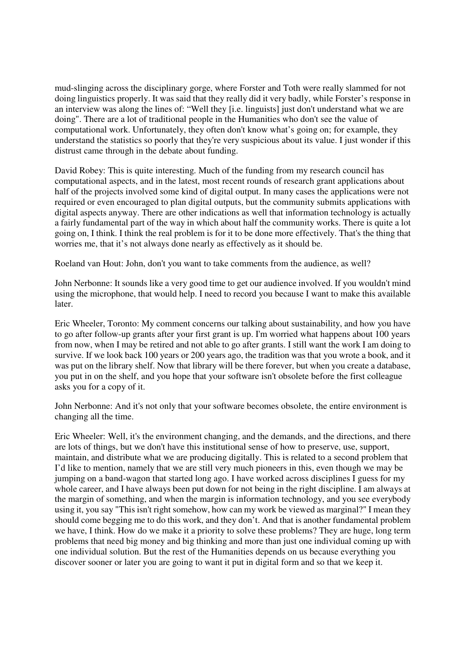mud-slinging across the disciplinary gorge, where Forster and Toth were really slammed for not doing linguistics properly. It was said that they really did it very badly, while Forster's response in an interview was along the lines of: "Well they [i.e. linguists] just don't understand what we are doing". There are a lot of traditional people in the Humanities who don't see the value of computational work. Unfortunately, they often don't know what's going on; for example, they understand the statistics so poorly that they're very suspicious about its value. I just wonder if this distrust came through in the debate about funding.

David Robey: This is quite interesting. Much of the funding from my research council has computational aspects, and in the latest, most recent rounds of research grant applications about half of the projects involved some kind of digital output. In many cases the applications were not required or even encouraged to plan digital outputs, but the community submits applications with digital aspects anyway. There are other indications as well that information technology is actually a fairly fundamental part of the way in which about half the community works. There is quite a lot going on, I think. I think the real problem is for it to be done more effectively. That's the thing that worries me, that it's not always done nearly as effectively as it should be.

Roeland van Hout: John, don't you want to take comments from the audience, as well?

John Nerbonne: It sounds like a very good time to get our audience involved. If you wouldn't mind using the microphone, that would help. I need to record you because I want to make this available later.

Eric Wheeler, Toronto: My comment concerns our talking about sustainability, and how you have to go after follow-up grants after your first grant is up. I'm worried what happens about 100 years from now, when I may be retired and not able to go after grants. I still want the work I am doing to survive. If we look back 100 years or 200 years ago, the tradition was that you wrote a book, and it was put on the library shelf. Now that library will be there forever, but when you create a database, you put in on the shelf, and you hope that your software isn't obsolete before the first colleague asks you for a copy of it.

John Nerbonne: And it's not only that your software becomes obsolete, the entire environment is changing all the time.

Eric Wheeler: Well, it's the environment changing, and the demands, and the directions, and there are lots of things, but we don't have this institutional sense of how to preserve, use, support, maintain, and distribute what we are producing digitally. This is related to a second problem that I'd like to mention, namely that we are still very much pioneers in this, even though we may be jumping on a band-wagon that started long ago. I have worked across disciplines I guess for my whole career, and I have always been put down for not being in the right discipline. I am always at the margin of something, and when the margin is information technology, and you see everybody using it, you say "This isn't right somehow, how can my work be viewed as marginal?" I mean they should come begging me to do this work, and they don't. And that is another fundamental problem we have, I think. How do we make it a priority to solve these problems? They are huge, long term problems that need big money and big thinking and more than just one individual coming up with one individual solution. But the rest of the Humanities depends on us because everything you discover sooner or later you are going to want it put in digital form and so that we keep it.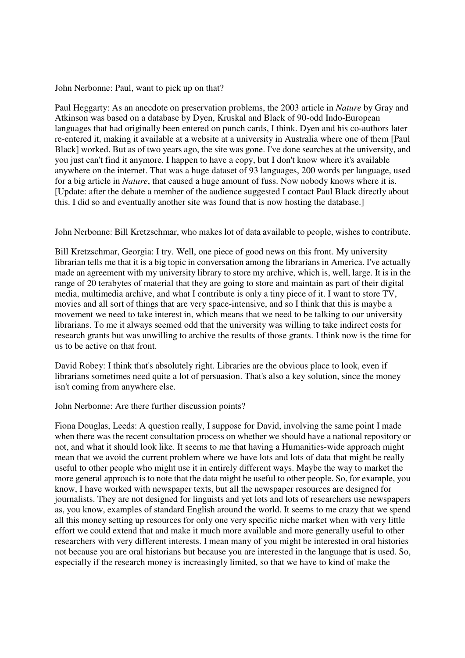John Nerbonne: Paul, want to pick up on that?

Paul Heggarty: As an anecdote on preservation problems, the 2003 article in *Nature* by Gray and Atkinson was based on a database by Dyen, Kruskal and Black of 90-odd Indo-European languages that had originally been entered on punch cards, I think. Dyen and his co-authors later re-entered it, making it available at a website at a university in Australia where one of them [Paul Black] worked. But as of two years ago, the site was gone. I've done searches at the university, and you just can't find it anymore. I happen to have a copy, but I don't know where it's available anywhere on the internet. That was a huge dataset of 93 languages, 200 words per language, used for a big article in *Nature*, that caused a huge amount of fuss. Now nobody knows where it is. [Update: after the debate a member of the audience suggested I contact Paul Black directly about this. I did so and eventually another site was found that is now hosting the database.]

John Nerbonne: Bill Kretzschmar, who makes lot of data available to people, wishes to contribute.

Bill Kretzschmar, Georgia: I try. Well, one piece of good news on this front. My university librarian tells me that it is a big topic in conversation among the librarians in America. I've actually made an agreement with my university library to store my archive, which is, well, large. It is in the range of 20 terabytes of material that they are going to store and maintain as part of their digital media, multimedia archive, and what I contribute is only a tiny piece of it. I want to store TV, movies and all sort of things that are very space-intensive, and so I think that this is maybe a movement we need to take interest in, which means that we need to be talking to our university librarians. To me it always seemed odd that the university was willing to take indirect costs for research grants but was unwilling to archive the results of those grants. I think now is the time for us to be active on that front.

David Robey: I think that's absolutely right. Libraries are the obvious place to look, even if librarians sometimes need quite a lot of persuasion. That's also a key solution, since the money isn't coming from anywhere else.

John Nerbonne: Are there further discussion points?

Fiona Douglas, Leeds: A question really, I suppose for David, involving the same point I made when there was the recent consultation process on whether we should have a national repository or not, and what it should look like. It seems to me that having a Humanities-wide approach might mean that we avoid the current problem where we have lots and lots of data that might be really useful to other people who might use it in entirely different ways. Maybe the way to market the more general approach is to note that the data might be useful to other people. So, for example, you know, I have worked with newspaper texts, but all the newspaper resources are designed for journalists. They are not designed for linguists and yet lots and lots of researchers use newspapers as, you know, examples of standard English around the world. It seems to me crazy that we spend all this money setting up resources for only one very specific niche market when with very little effort we could extend that and make it much more available and more generally useful to other researchers with very different interests. I mean many of you might be interested in oral histories not because you are oral historians but because you are interested in the language that is used. So, especially if the research money is increasingly limited, so that we have to kind of make the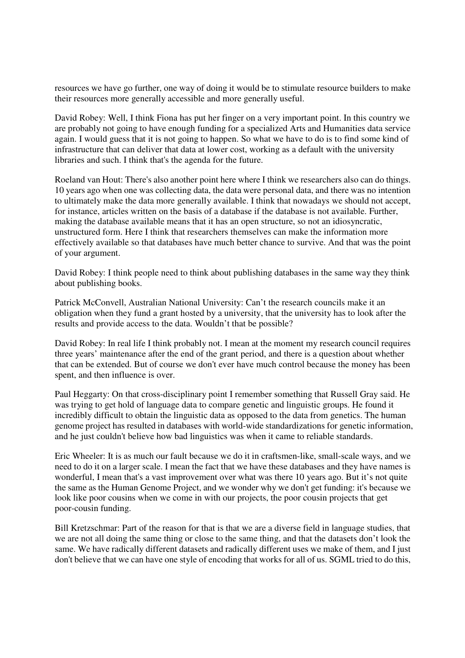resources we have go further, one way of doing it would be to stimulate resource builders to make their resources more generally accessible and more generally useful.

David Robey: Well, I think Fiona has put her finger on a very important point. In this country we are probably not going to have enough funding for a specialized Arts and Humanities data service again. I would guess that it is not going to happen. So what we have to do is to find some kind of infrastructure that can deliver that data at lower cost, working as a default with the university libraries and such. I think that's the agenda for the future.

Roeland van Hout: There's also another point here where I think we researchers also can do things. 10 years ago when one was collecting data, the data were personal data, and there was no intention to ultimately make the data more generally available. I think that nowadays we should not accept, for instance, articles written on the basis of a database if the database is not available. Further, making the database available means that it has an open structure, so not an idiosyncratic, unstructured form. Here I think that researchers themselves can make the information more effectively available so that databases have much better chance to survive. And that was the point of your argument.

David Robey: I think people need to think about publishing databases in the same way they think about publishing books.

Patrick McConvell, Australian National University: Can't the research councils make it an obligation when they fund a grant hosted by a university, that the university has to look after the results and provide access to the data. Wouldn't that be possible?

David Robey: In real life I think probably not. I mean at the moment my research council requires three years' maintenance after the end of the grant period, and there is a question about whether that can be extended. But of course we don't ever have much control because the money has been spent, and then influence is over.

Paul Heggarty: On that cross-disciplinary point I remember something that Russell Gray said. He was trying to get hold of language data to compare genetic and linguistic groups. He found it incredibly difficult to obtain the linguistic data as opposed to the data from genetics. The human genome project has resulted in databases with world-wide standardizations for genetic information, and he just couldn't believe how bad linguistics was when it came to reliable standards.

Eric Wheeler: It is as much our fault because we do it in craftsmen-like, small-scale ways, and we need to do it on a larger scale. I mean the fact that we have these databases and they have names is wonderful, I mean that's a vast improvement over what was there 10 years ago. But it's not quite the same as the Human Genome Project, and we wonder why we don't get funding: it's because we look like poor cousins when we come in with our projects, the poor cousin projects that get poor-cousin funding.

Bill Kretzschmar: Part of the reason for that is that we are a diverse field in language studies, that we are not all doing the same thing or close to the same thing, and that the datasets don't look the same. We have radically different datasets and radically different uses we make of them, and I just don't believe that we can have one style of encoding that works for all of us. SGML tried to do this,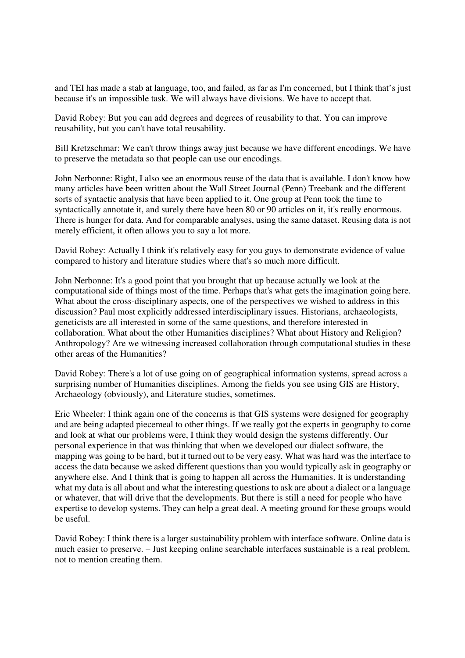and TEI has made a stab at language, too, and failed, as far as I'm concerned, but I think that's just because it's an impossible task. We will always have divisions. We have to accept that.

David Robey: But you can add degrees and degrees of reusability to that. You can improve reusability, but you can't have total reusability.

Bill Kretzschmar: We can't throw things away just because we have different encodings. We have to preserve the metadata so that people can use our encodings.

John Nerbonne: Right, I also see an enormous reuse of the data that is available. I don't know how many articles have been written about the Wall Street Journal (Penn) Treebank and the different sorts of syntactic analysis that have been applied to it. One group at Penn took the time to syntactically annotate it, and surely there have been 80 or 90 articles on it, it's really enormous. There is hunger for data. And for comparable analyses, using the same dataset. Reusing data is not merely efficient, it often allows you to say a lot more.

David Robey: Actually I think it's relatively easy for you guys to demonstrate evidence of value compared to history and literature studies where that's so much more difficult.

John Nerbonne: It's a good point that you brought that up because actually we look at the computational side of things most of the time. Perhaps that's what gets the imagination going here. What about the cross-disciplinary aspects, one of the perspectives we wished to address in this discussion? Paul most explicitly addressed interdisciplinary issues. Historians, archaeologists, geneticists are all interested in some of the same questions, and therefore interested in collaboration. What about the other Humanities disciplines? What about History and Religion? Anthropology? Are we witnessing increased collaboration through computational studies in these other areas of the Humanities?

David Robey: There's a lot of use going on of geographical information systems, spread across a surprising number of Humanities disciplines. Among the fields you see using GIS are History, Archaeology (obviously), and Literature studies, sometimes.

Eric Wheeler: I think again one of the concerns is that GIS systems were designed for geography and are being adapted piecemeal to other things. If we really got the experts in geography to come and look at what our problems were, I think they would design the systems differently. Our personal experience in that was thinking that when we developed our dialect software, the mapping was going to be hard, but it turned out to be very easy. What was hard was the interface to access the data because we asked different questions than you would typically ask in geography or anywhere else. And I think that is going to happen all across the Humanities. It is understanding what my data is all about and what the interesting questions to ask are about a dialect or a language or whatever, that will drive that the developments. But there is still a need for people who have expertise to develop systems. They can help a great deal. A meeting ground for these groups would be useful.

David Robey: I think there is a larger sustainability problem with interface software. Online data is much easier to preserve. – Just keeping online searchable interfaces sustainable is a real problem, not to mention creating them.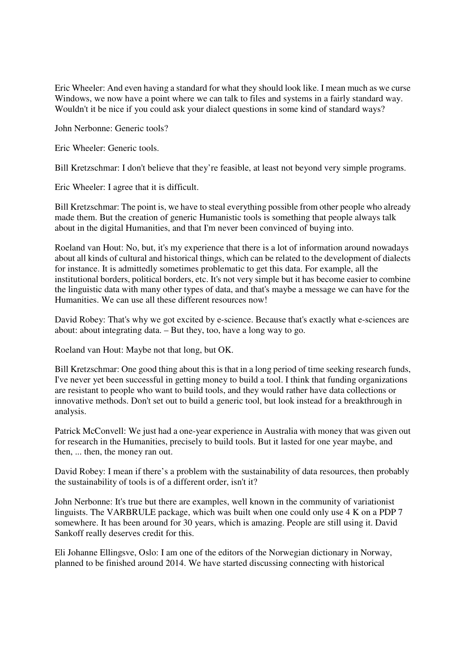Eric Wheeler: And even having a standard for what they should look like. I mean much as we curse Windows, we now have a point where we can talk to files and systems in a fairly standard way. Wouldn't it be nice if you could ask your dialect questions in some kind of standard ways?

John Nerbonne: Generic tools?

Eric Wheeler: Generic tools.

Bill Kretzschmar: I don't believe that they're feasible, at least not beyond very simple programs.

Eric Wheeler: I agree that it is difficult.

Bill Kretzschmar: The point is, we have to steal everything possible from other people who already made them. But the creation of generic Humanistic tools is something that people always talk about in the digital Humanities, and that I'm never been convinced of buying into.

Roeland van Hout: No, but, it's my experience that there is a lot of information around nowadays about all kinds of cultural and historical things, which can be related to the development of dialects for instance. It is admittedly sometimes problematic to get this data. For example, all the institutional borders, political borders, etc. It's not very simple but it has become easier to combine the linguistic data with many other types of data, and that's maybe a message we can have for the Humanities. We can use all these different resources now!

David Robey: That's why we got excited by e-science. Because that's exactly what e-sciences are about: about integrating data. – But they, too, have a long way to go.

Roeland van Hout: Maybe not that long, but OK.

Bill Kretzschmar: One good thing about this is that in a long period of time seeking research funds, I've never yet been successful in getting money to build a tool. I think that funding organizations are resistant to people who want to build tools, and they would rather have data collections or innovative methods. Don't set out to build a generic tool, but look instead for a breakthrough in analysis.

Patrick McConvell: We just had a one-year experience in Australia with money that was given out for research in the Humanities, precisely to build tools. But it lasted for one year maybe, and then, ... then, the money ran out.

David Robey: I mean if there's a problem with the sustainability of data resources, then probably the sustainability of tools is of a different order, isn't it?

John Nerbonne: It's true but there are examples, well known in the community of variationist linguists. The VARBRULE package, which was built when one could only use 4 K on a PDP 7 somewhere. It has been around for 30 years, which is amazing. People are still using it. David Sankoff really deserves credit for this.

Eli Johanne Ellingsve, Oslo: I am one of the editors of the Norwegian dictionary in Norway, planned to be finished around 2014. We have started discussing connecting with historical